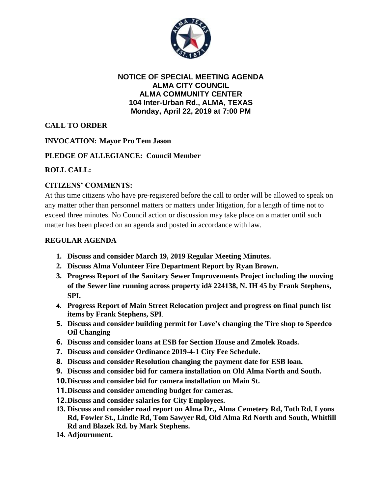

#### **NOTICE OF SPECIAL MEETING AGENDA ALMA CITY COUNCIL ALMA COMMUNITY CENTER 104 Inter-Urban Rd., ALMA, TEXAS Monday, April 22, 2019 at 7:00 PM**

# **CALL TO ORDER**

### **INVOCATION: Mayor Pro Tem Jason**

## **PLEDGE OF ALLEGIANCE: Council Member**

### **ROLL CALL:**

## **CITIZENS' COMMENTS:**

At this time citizens who have pre-registered before the call to order will be allowed to speak on any matter other than personnel matters or matters under litigation, for a length of time not to exceed three minutes. No Council action or discussion may take place on a matter until such matter has been placed on an agenda and posted in accordance with law.

#### **REGULAR AGENDA**

- **1. Discuss and consider March 19, 2019 Regular Meeting Minutes.**
- **2. Discuss Alma Volunteer Fire Department Report by Ryan Brown.**
- **3. Progress Report of the Sanitary Sewer Improvements Project including the moving of the Sewer line running across property id# 224138, N. IH 45 by Frank Stephens, SPI.**
- **4. Progress Report of Main Street Relocation project and progress on final punch list items by Frank Stephens, SPI**.
- **5. Discuss and consider building permit for Love's changing the Tire shop to Speedco Oil Changing**
- **6. Discuss and consider loans at ESB for Section House and Zmolek Roads.**
- **7. Discuss and consider Ordinance 2019-4-1 City Fee Schedule.**
- **8. Discuss and consider Resolution changing the payment date for ESB loan.**
- **9. Discuss and consider bid for camera installation on Old Alma North and South.**
- **10.Discuss and consider bid for camera installation on Main St.**
- **11.Discuss and consider amending budget for cameras.**
- **12.Discuss and consider salaries for City Employees.**
- **13. Discuss and consider road report on Alma Dr., Alma Cemetery Rd, Toth Rd, Lyons Rd, Fowler St., Lindle Rd, Tom Sawyer Rd, Old Alma Rd North and South, Whitfill Rd and Blazek Rd. by Mark Stephens.**
- **14. Adjournment.**